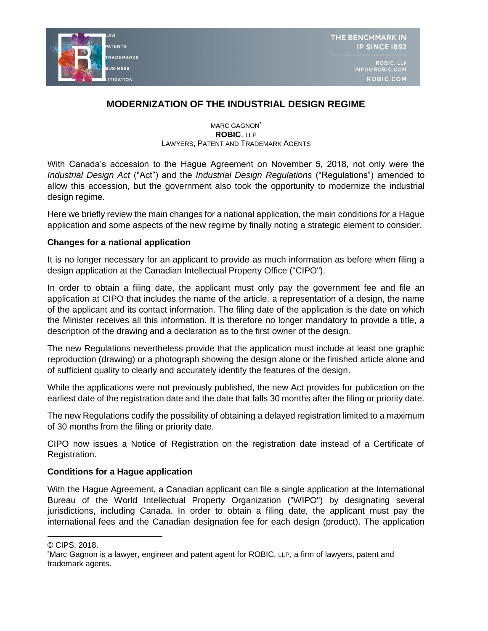

THE BENCHMARK IN **IP SINCE 1892** 

> ROBIC, LLP INFO@ROBIC.COM ROBIC.COM

# **MODERNIZATION OF THE INDUSTRIAL DESIGN REGIME**

MARC GAGNON<sup>\*</sup> **ROBIC**, LLP LAWYERS, PATENT AND TRADEMARK AGENTS

With Canada's accession to the Hague Agreement on November 5, 2018, not only were the *Industrial Design Act* ("Act") and the *Industrial Design Regulations* ("Regulations") amended to allow this accession, but the government also took the opportunity to modernize the industrial design regime.

Here we briefly review the main changes for a national application, the main conditions for a Hague application and some aspects of the new regime by finally noting a strategic element to consider.

## **Changes for a national application**

It is no longer necessary for an applicant to provide as much information as before when filing a design application at the Canadian Intellectual Property Office ("CIPO").

In order to obtain a filing date, the applicant must only pay the government fee and file an application at CIPO that includes the name of the article, a representation of a design, the name of the applicant and its contact information. The filing date of the application is the date on which the Minister receives all this information. It is therefore no longer mandatory to provide a title, a description of the drawing and a declaration as to the first owner of the design.

The new Regulations nevertheless provide that the application must include at least one graphic reproduction (drawing) or a photograph showing the design alone or the finished article alone and of sufficient quality to clearly and accurately identify the features of the design.

While the applications were not previously published, the new Act provides for publication on the earliest date of the registration date and the date that falls 30 months after the filing or priority date.

The new Regulations codify the possibility of obtaining a delayed registration limited to a maximum of 30 months from the filing or priority date.

CIPO now issues a Notice of Registration on the registration date instead of a Certificate of Registration.

## **Conditions for a Hague application**

With the Hague Agreement, a Canadian applicant can file a single application at the International Bureau of the World Intellectual Property Organization ("WIPO") by designating several jurisdictions, including Canada. In order to obtain a filing date, the applicant must pay the international fees and the Canadian designation fee for each design (product). The application

<sup>©</sup> CIPS, 2018.

<sup>\*</sup>Marc Gagnon is a lawyer, engineer and patent agent for ROBIC, LLP, a firm of lawyers, patent and trademark agents.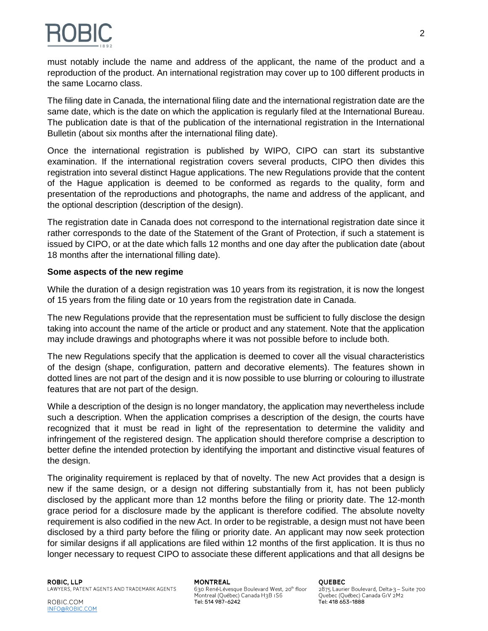

must notably include the name and address of the applicant, the name of the product and a reproduction of the product. An international registration may cover up to 100 different products in the same Locarno class.

The filing date in Canada, the international filing date and the international registration date are the same date, which is the date on which the application is regularly filed at the International Bureau. The publication date is that of the publication of the international registration in the International Bulletin (about six months after the international filing date).

Once the international registration is published by WIPO, CIPO can start its substantive examination. If the international registration covers several products, CIPO then divides this registration into several distinct Hague applications. The new Regulations provide that the content of the Hague application is deemed to be conformed as regards to the quality, form and presentation of the reproductions and photographs, the name and address of the applicant, and the optional description (description of the design).

The registration date in Canada does not correspond to the international registration date since it rather corresponds to the date of the Statement of the Grant of Protection, if such a statement is issued by CIPO, or at the date which falls 12 months and one day after the publication date (about 18 months after the international filling date).

## **Some aspects of the new regime**

While the duration of a design registration was 10 years from its registration, it is now the longest of 15 years from the filing date or 10 years from the registration date in Canada.

The new Regulations provide that the representation must be sufficient to fully disclose the design taking into account the name of the article or product and any statement. Note that the application may include drawings and photographs where it was not possible before to include both.

The new Regulations specify that the application is deemed to cover all the visual characteristics of the design (shape, configuration, pattern and decorative elements). The features shown in dotted lines are not part of the design and it is now possible to use blurring or colouring to illustrate features that are not part of the design.

While a description of the design is no longer mandatory, the application may nevertheless include such a description. When the application comprises a description of the design, the courts have recognized that it must be read in light of the representation to determine the validity and infringement of the registered design. The application should therefore comprise a description to better define the intended protection by identifying the important and distinctive visual features of the design.

The originality requirement is replaced by that of novelty. The new Act provides that a design is new if the same design, or a design not differing substantially from it, has not been publicly disclosed by the applicant more than 12 months before the filing or priority date. The 12-month grace period for a disclosure made by the applicant is therefore codified. The absolute novelty requirement is also codified in the new Act. In order to be registrable, a design must not have been disclosed by a third party before the filing or priority date. An applicant may now seek protection for similar designs if all applications are filed within 12 months of the first application. It is thus no longer necessary to request CIPO to associate these different applications and that all designs be

### **MONTREAL**

630 René-Lévesque Boulevard West, 20th floor Montreal (Québec) Canada H3B IS6 Tel: 514 987-6242 Tel: 418 653-1888

#### **OUEBEC**

2875 Laurier Boulevard, Delta-3 - Suite 700 Quebec (Québec) Canada GIV 2M2